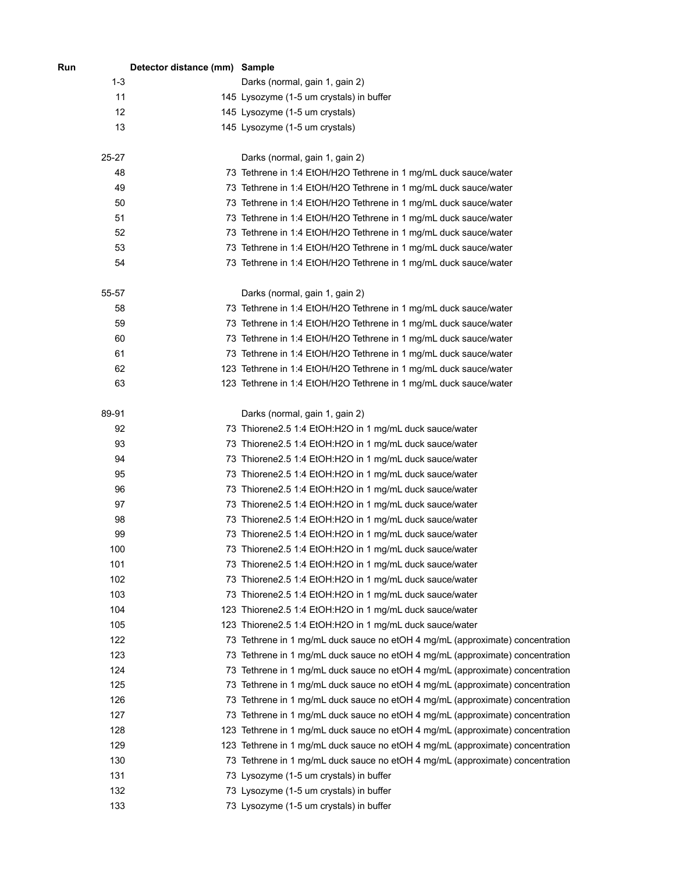| Run       | Detector distance (mm) Sample |                                                                                |
|-----------|-------------------------------|--------------------------------------------------------------------------------|
| $1 - 3$   |                               | Darks (normal, gain 1, gain 2)                                                 |
| 11        |                               | 145 Lysozyme (1-5 um crystals) in buffer                                       |
| 12        |                               | 145 Lysozyme (1-5 um crystals)                                                 |
| 13        |                               | 145 Lysozyme (1-5 um crystals)                                                 |
| $25 - 27$ |                               | Darks (normal, gain 1, gain 2)                                                 |
| 48        |                               | 73 Tethrene in 1:4 EtOH/H2O Tethrene in 1 mg/mL duck sauce/water               |
| 49        |                               | 73 Tethrene in 1:4 EtOH/H2O Tethrene in 1 mg/mL duck sauce/water               |
| 50        |                               | 73 Tethrene in 1:4 EtOH/H2O Tethrene in 1 mg/mL duck sauce/water               |
| 51        |                               | 73 Tethrene in 1:4 EtOH/H2O Tethrene in 1 mg/mL duck sauce/water               |
| 52        |                               | 73 Tethrene in 1:4 EtOH/H2O Tethrene in 1 mg/mL duck sauce/water               |
| 53        |                               | 73 Tethrene in 1:4 EtOH/H2O Tethrene in 1 mg/mL duck sauce/water               |
| 54        |                               | 73 Tethrene in 1:4 EtOH/H2O Tethrene in 1 mg/mL duck sauce/water               |
| 55-57     |                               | Darks (normal, gain 1, gain 2)                                                 |
| 58        |                               | 73 Tethrene in 1:4 EtOH/H2O Tethrene in 1 mg/mL duck sauce/water               |
| 59        |                               | 73 Tethrene in 1:4 EtOH/H2O Tethrene in 1 mg/mL duck sauce/water               |
| 60        |                               | 73 Tethrene in 1:4 EtOH/H2O Tethrene in 1 mg/mL duck sauce/water               |
| 61        |                               | 73 Tethrene in 1:4 EtOH/H2O Tethrene in 1 mg/mL duck sauce/water               |
| 62        |                               | 123 Tethrene in 1:4 EtOH/H2O Tethrene in 1 mg/mL duck sauce/water              |
| 63        |                               | 123 Tethrene in 1:4 EtOH/H2O Tethrene in 1 mg/mL duck sauce/water              |
| 89-91     |                               | Darks (normal, gain 1, gain 2)                                                 |
| 92        |                               | 73 Thiorene2.5 1:4 EtOH:H2O in 1 mg/mL duck sauce/water                        |
| 93        |                               | 73 Thiorene2.5 1:4 EtOH:H2O in 1 mg/mL duck sauce/water                        |
| 94        |                               | 73 Thiorene2.5 1:4 EtOH:H2O in 1 mg/mL duck sauce/water                        |
| 95        |                               | 73 Thiorene2.5 1:4 EtOH:H2O in 1 mg/mL duck sauce/water                        |
| 96        |                               | 73 Thiorene2.5 1:4 EtOH:H2O in 1 mg/mL duck sauce/water                        |
| 97        |                               | 73 Thiorene2.5 1:4 EtOH:H2O in 1 mg/mL duck sauce/water                        |
| 98        |                               | 73 Thiorene2.5 1:4 EtOH:H2O in 1 mg/mL duck sauce/water                        |
| 99        |                               | 73 Thiorene2.5 1:4 EtOH:H2O in 1 mg/mL duck sauce/water                        |
| 100       |                               | 73 Thiorene2.5 1:4 EtOH:H2O in 1 mg/mL duck sauce/water                        |
| 101       |                               | 73 Thiorene2.5 1:4 EtOH:H2O in 1 mg/mL duck sauce/water                        |
| 102       |                               | 73 Thiorene2.5 1:4 EtOH:H2O in 1 mg/mL duck sauce/water                        |
| 103       |                               | 73 Thiorene2.5 1:4 EtOH:H2O in 1 mg/mL duck sauce/water                        |
| 104       |                               | 123 Thiorene2.5 1:4 EtOH:H2O in 1 mg/mL duck sauce/water                       |
| 105       |                               | 123 Thiorene2.5 1:4 EtOH:H2O in 1 mg/mL duck sauce/water                       |
| 122       |                               | 73 Tethrene in 1 mg/mL duck sauce no etOH 4 mg/mL (approximate) concentration  |
| 123       |                               | 73 Tethrene in 1 mg/mL duck sauce no etOH 4 mg/mL (approximate) concentration  |
| 124       |                               | 73 Tethrene in 1 mg/mL duck sauce no etOH 4 mg/mL (approximate) concentration  |
| 125       |                               | 73 Tethrene in 1 mg/mL duck sauce no etOH 4 mg/mL (approximate) concentration  |
| 126       |                               | 73 Tethrene in 1 mg/mL duck sauce no etOH 4 mg/mL (approximate) concentration  |
| 127       |                               | 73 Tethrene in 1 mg/mL duck sauce no etOH 4 mg/mL (approximate) concentration  |
| 128       |                               | 123 Tethrene in 1 mg/mL duck sauce no etOH 4 mg/mL (approximate) concentration |
| 129       |                               | 123 Tethrene in 1 mg/mL duck sauce no etOH 4 mg/mL (approximate) concentration |
| 130       |                               | 73 Tethrene in 1 mg/mL duck sauce no etOH 4 mg/mL (approximate) concentration  |
| 131       |                               | 73 Lysozyme (1-5 um crystals) in buffer                                        |
| 132       |                               | 73 Lysozyme (1-5 um crystals) in buffer                                        |
| 133       |                               | 73 Lysozyme (1-5 um crystals) in buffer                                        |